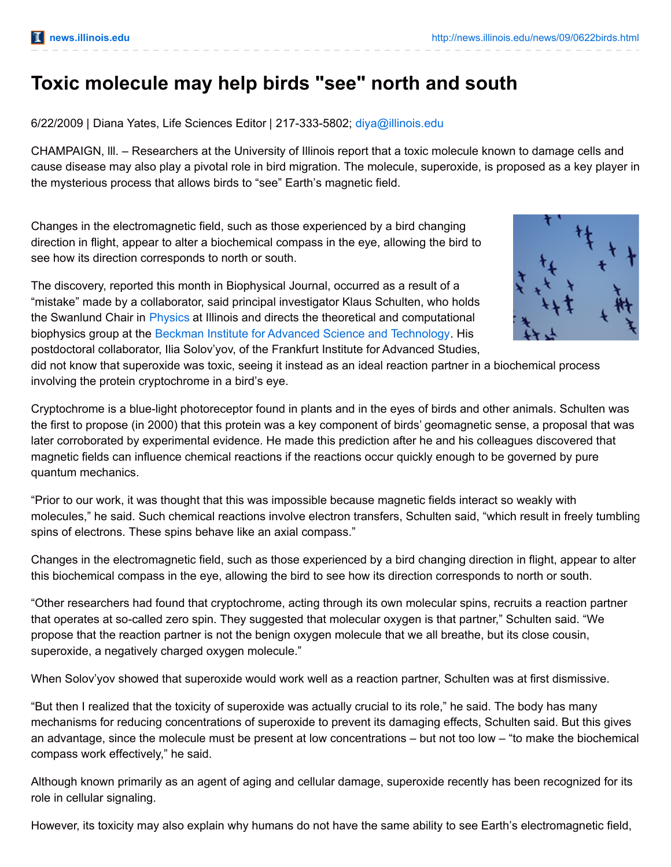## **Toxic molecule may help birds "see" north and south**

6/22/2009 | Diana Yates, Life Sciences Editor | 217-333-5802; [diya@illinois.edu](mailto:diya@illinois.edu)

CHAMPAIGN, lll. – Researchers at the University of Illinois report that a toxic molecule known to damage cells and cause disease may also play a pivotal role in bird migration. The molecule, superoxide, is proposed as a key player in the mysterious process that allows birds to "see" Earth's magnetic field.

Changes in the electromagnetic field, such as those experienced by a bird changing direction in flight, appear to alter a biochemical compass in the eye, allowing the bird to see how its direction corresponds to north or south.

The discovery, reported this month in Biophysical Journal, occurred as a result of a "mistake" made by a collaborator, said principal investigator Klaus Schulten, who holds the Swanlund Chair in [Physics](http://www.physics.illinois.edu/) at Illinois and directs the theoretical and computational biophysics group at the Beckman Institute for Advanced Science and [Technology](http://www.beckman.illinois.edu/). His postdoctoral collaborator, Ilia Solov'yov, of the Frankfurt Institute for Advanced Studies,



did not know that superoxide was toxic, seeing it instead as an ideal reaction partner in a biochemical process involving the protein cryptochrome in a bird's eye.

Cryptochrome is a blue-light photoreceptor found in plants and in the eyes of birds and other animals. Schulten was the first to propose (in 2000) that this protein was a key component of birds' geomagnetic sense, a proposal that was later corroborated by experimental evidence. He made this prediction after he and his colleagues discovered that magnetic fields can influence chemical reactions if the reactions occur quickly enough to be governed by pure quantum mechanics.

"Prior to our work, it was thought that this was impossible because magnetic fields interact so weakly with molecules," he said. Such chemical reactions involve electron transfers, Schulten said, "which result in freely tumbling spins of electrons. These spins behave like an axial compass."

Changes in the electromagnetic field, such as those experienced by a bird changing direction in flight, appear to alter this biochemical compass in the eye, allowing the bird to see how its direction corresponds to north or south.

"Other researchers had found that cryptochrome, acting through its own molecular spins, recruits a reaction partner that operates at so-called zero spin. They suggested that molecular oxygen is that partner," Schulten said. "We propose that the reaction partner is not the benign oxygen molecule that we all breathe, but its close cousin, superoxide, a negatively charged oxygen molecule."

When Solov'yov showed that superoxide would work well as a reaction partner, Schulten was at first dismissive.

"But then I realized that the toxicity of superoxide was actually crucial to its role," he said. The body has many mechanisms for reducing concentrations of superoxide to prevent its damaging effects, Schulten said. But this gives an advantage, since the molecule must be present at low concentrations – but not too low – "to make the biochemical compass work effectively," he said.

Although known primarily as an agent of aging and cellular damage, superoxide recently has been recognized for its role in cellular signaling.

However, its toxicity may also explain why humans do not have the same ability to see Earth's electromagnetic field,